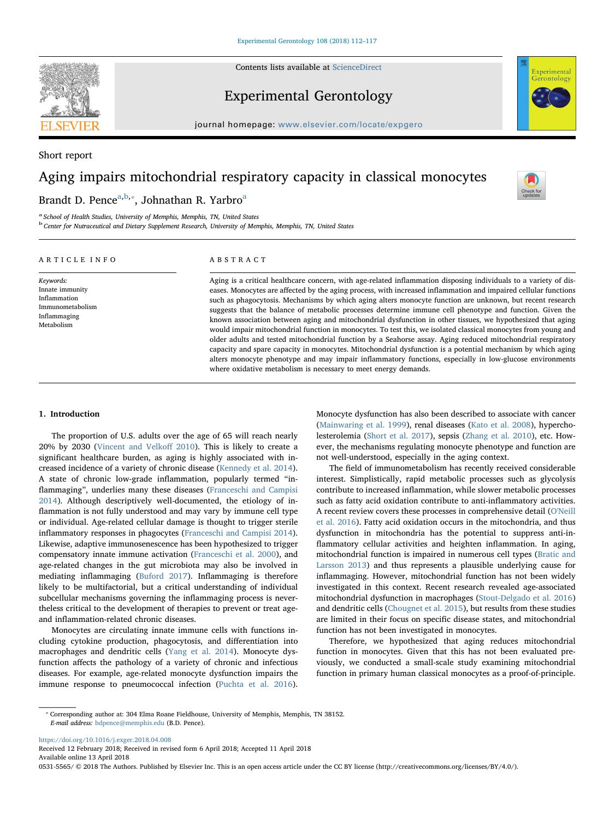Contents lists available at [ScienceDirect](http://www.sciencedirect.com/science/journal/05315565)



Short report

Experimental Gerontology



Check for<br>updates

 $j$ ournal homepage: www.elsevier.com/locate/expansion.com/locate/expansion.com/locate/expansion.com/locate/expansion.com/locate/expansion.com/locate/expansion.com/locate/expansion.com/locate/expansion.com/locate/expansion

# Aging impairs mitochondrial respiratory capacity in classical monocytes

# Brandt D. Pence<sup>[a,](#page-0-0)[b](#page-0-1),\*</sup>, John[a](#page-0-0)than R. Yarbro<sup>a</sup>

<span id="page-0-1"></span><span id="page-0-0"></span><sup>a</sup> School of Health Studies, University of Memphis, Memphis, TN, United States <sup>b</sup> Center for Nutraceutical and Dietary Supplement Research, University of Memphis, Memphis, TN, United States

# ARTICLE INFO

Keywords: Innate immunity Inflammation Immunometabolism Inflammaging Metabolism

# ABSTRACT

Aging is a critical healthcare concern, with age-related inflammation disposing individuals to a variety of diseases. Monocytes are affected by the aging process, with increased inflammation and impaired cellular functions such as phagocytosis. Mechanisms by which aging alters monocyte function are unknown, but recent research suggests that the balance of metabolic processes determine immune cell phenotype and function. Given the known association between aging and mitochondrial dysfunction in other tissues, we hypothesized that aging would impair mitochondrial function in monocytes. To test this, we isolated classical monocytes from young and older adults and tested mitochondrial function by a Seahorse assay. Aging reduced mitochondrial respiratory capacity and spare capacity in monocytes. Mitochondrial dysfunction is a potential mechanism by which aging alters monocyte phenotype and may impair inflammatory functions, especially in low-glucose environments where oxidative metabolism is necessary to meet energy demands.

#### 1. Introduction

The proportion of U.S. adults over the age of 65 will reach nearly 20% by 2030 [\(Vincent and Velko](#page-5-0)ff 2010). This is likely to create a significant healthcare burden, as aging is highly associated with increased incidence of a variety of chronic disease ([Kennedy et al. 2014](#page-5-1)). A state of chronic low-grade inflammation, popularly termed "inflammaging", underlies many these diseases [\(Franceschi and Campisi](#page-5-2) [2014\)](#page-5-2). Although descriptively well-documented, the etiology of inflammation is not fully understood and may vary by immune cell type or individual. Age-related cellular damage is thought to trigger sterile inflammatory responses in phagocytes ([Franceschi and Campisi 2014](#page-5-2)). Likewise, adaptive immunosenescence has been hypothesized to trigger compensatory innate immune activation ([Franceschi et al. 2000](#page-5-3)), and age-related changes in the gut microbiota may also be involved in mediating inflammaging ([Buford 2017\)](#page-5-4). Inflammaging is therefore likely to be multifactorial, but a critical understanding of individual subcellular mechanisms governing the inflammaging process is nevertheless critical to the development of therapies to prevent or treat ageand inflammation-related chronic diseases.

Monocytes are circulating innate immune cells with functions including cytokine production, phagocytosis, and differentiation into macrophages and dendritic cells [\(Yang et al. 2014](#page-5-5)). Monocyte dysfunction affects the pathology of a variety of chronic and infectious diseases. For example, age-related monocyte dysfunction impairs the immune response to pneumococcal infection [\(Puchta et al. 2016](#page-5-6)).

Monocyte dysfunction has also been described to associate with cancer ([Mainwaring et al. 1999\)](#page-5-7), renal diseases [\(Kato et al. 2008](#page-5-8)), hypercholesterolemia ([Short et al. 2017\)](#page-5-9), sepsis ([Zhang et al. 2010\)](#page-5-10), etc. However, the mechanisms regulating monocyte phenotype and function are not well-understood, especially in the aging context.

The field of immunometabolism has recently received considerable interest. Simplistically, rapid metabolic processes such as glycolysis contribute to increased inflammation, while slower metabolic processes such as fatty acid oxidation contribute to anti-inflammatory activities. A recent review covers these processes in comprehensive detail ([O'Neill](#page-5-11) [et al. 2016\)](#page-5-11). Fatty acid oxidation occurs in the mitochondria, and thus dysfunction in mitochondria has the potential to suppress anti-inflammatory cellular activities and heighten inflammation. In aging, mitochondrial function is impaired in numerous cell types ([Bratic and](#page-5-12) [Larsson 2013](#page-5-12)) and thus represents a plausible underlying cause for inflammaging. However, mitochondrial function has not been widely investigated in this context. Recent research revealed age-associated mitochondrial dysfunction in macrophages [\(Stout-Delgado et al. 2016\)](#page-5-13) and dendritic cells ([Chougnet et al. 2015\)](#page-5-14), but results from these studies are limited in their focus on specific disease states, and mitochondrial function has not been investigated in monocytes.

Therefore, we hypothesized that aging reduces mitochondrial function in monocytes. Given that this has not been evaluated previously, we conducted a small-scale study examining mitochondrial function in primary human classical monocytes as a proof-of-principle.

<https://doi.org/10.1016/j.exger.2018.04.008>

Received 12 February 2018; Received in revised form 6 April 2018; Accepted 11 April 2018 Available online 13 April 2018

0531-5565/ © 2018 The Authors. Published by Elsevier Inc. This is an open access article under the CC BY license (http://creativecommons.org/licenses/BY/4.0/).

<span id="page-0-2"></span><sup>⁎</sup> Corresponding author at: 304 Elma Roane Fieldhouse, University of Memphis, Memphis, TN 38152. E-mail address: [bdpence@memphis.edu](mailto:bdpence@memphis.edu) (B.D. Pence).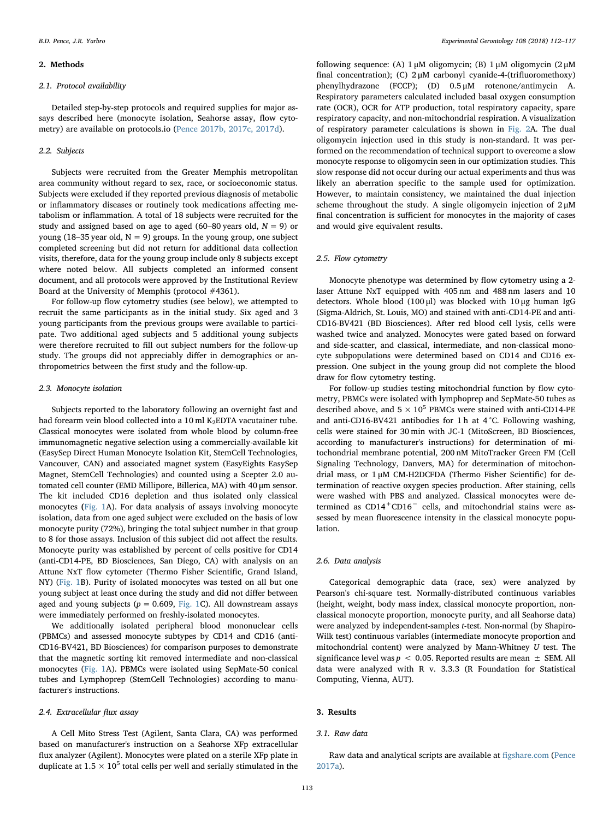#### 2. Methods

# 2.1. Protocol availability

Detailed step-by-step protocols and required supplies for major assays described here (monocyte isolation, Seahorse assay, flow cytometry) are available on protocols.io ([Pence 2017b, 2017c, 2017d](#page-5-15)).

# 2.2. Subjects

Subjects were recruited from the Greater Memphis metropolitan area community without regard to sex, race, or socioeconomic status. Subjects were excluded if they reported previous diagnosis of metabolic or inflammatory diseases or routinely took medications affecting metabolism or inflammation. A total of 18 subjects were recruited for the study and assigned based on age to aged (60–80 years old,  $N = 9$ ) or young (18–35 year old,  $N = 9$ ) groups. In the young group, one subject completed screening but did not return for additional data collection visits, therefore, data for the young group include only 8 subjects except where noted below. All subjects completed an informed consent document, and all protocols were approved by the Institutional Review Board at the University of Memphis (protocol #4361).

For follow-up flow cytometry studies (see below), we attempted to recruit the same participants as in the initial study. Six aged and 3 young participants from the previous groups were available to participate. Two additional aged subjects and 5 additional young subjects were therefore recruited to fill out subject numbers for the follow-up study. The groups did not appreciably differ in demographics or anthropometrics between the first study and the follow-up.

# 2.3. Monocyte isolation

Subjects reported to the laboratory following an overnight fast and had forearm vein blood collected into a 10 ml K<sub>2</sub>EDTA vacutainer tube. Classical monocytes were isolated from whole blood by column-free immunomagnetic negative selection using a commercially-available kit (EasySep Direct Human Monocyte Isolation Kit, StemCell Technologies, Vancouver, CAN) and associated magnet system (EasyEights EasySep Magnet, StemCell Technologies) and counted using a Scepter 2.0 automated cell counter (EMD Millipore, Billerica, MA) with 40 μm sensor. The kit included CD16 depletion and thus isolated only classical monocytes ([Fig. 1A](#page-2-0)). For data analysis of assays involving monocyte isolation, data from one aged subject were excluded on the basis of low monocyte purity (72%), bringing the total subject number in that group to 8 for those assays. Inclusion of this subject did not affect the results. Monocyte purity was established by percent of cells positive for CD14 (anti-CD14-PE, BD Biosciences, San Diego, CA) with analysis on an Attune NxT flow cytometer (Thermo Fisher Scientific, Grand Island, NY) [\(Fig. 1](#page-2-0)B). Purity of isolated monocytes was tested on all but one young subject at least once during the study and did not differ between aged and young subjects ( $p = 0.609$ , [Fig. 1C](#page-2-0)). All downstream assays were immediately performed on freshly-isolated monocytes.

We additionally isolated peripheral blood mononuclear cells (PBMCs) and assessed monocyte subtypes by CD14 and CD16 (anti-CD16-BV421, BD Biosciences) for comparison purposes to demonstrate that the magnetic sorting kit removed intermediate and non-classical monocytes ([Fig. 1A](#page-2-0)). PBMCs were isolated using SepMate-50 conical tubes and Lymphoprep (StemCell Technologies) according to manufacturer's instructions.

#### 2.4. Extracellular flux assay

A Cell Mito Stress Test (Agilent, Santa Clara, CA) was performed based on manufacturer's instruction on a Seahorse XFp extracellular flux analyzer (Agilent). Monocytes were plated on a sterile XFp plate in duplicate at  $1.5 \times 10^5$  total cells per well and serially stimulated in the

following sequence: (A) 1 μM oligomycin; (B) 1 μM oligomycin (2 μM final concentration); (C) 2 μM carbonyl cyanide-4-(trifluoromethoxy) phenylhydrazone (FCCP); (D) 0.5 μM rotenone/antimycin A. Respiratory parameters calculated included basal oxygen consumption rate (OCR), OCR for ATP production, total respiratory capacity, spare respiratory capacity, and non-mitochondrial respiration. A visualization of respiratory parameter calculations is shown in [Fig. 2A](#page-3-0). The dual oligomycin injection used in this study is non-standard. It was performed on the recommendation of technical support to overcome a slow monocyte response to oligomycin seen in our optimization studies. This slow response did not occur during our actual experiments and thus was likely an aberration specific to the sample used for optimization. However, to maintain consistency, we maintained the dual injection scheme throughout the study. A single oligomycin injection of 2 μM final concentration is sufficient for monocytes in the majority of cases and would give equivalent results.

#### 2.5. Flow cytometry

Monocyte phenotype was determined by flow cytometry using a 2 laser Attune NxT equipped with 405 nm and 488 nm lasers and 10 detectors. Whole blood (100 μl) was blocked with 10 μg human IgG (Sigma-Aldrich, St. Louis, MO) and stained with anti-CD14-PE and anti-CD16-BV421 (BD Biosciences). After red blood cell lysis, cells were washed twice and analyzed. Monocytes were gated based on forward and side-scatter, and classical, intermediate, and non-classical monocyte subpopulations were determined based on CD14 and CD16 expression. One subject in the young group did not complete the blood draw for flow cytometry testing.

For follow-up studies testing mitochondrial function by flow cytometry, PBMCs were isolated with lymphoprep and SepMate-50 tubes as described above, and  $5 \times 10^5$  PBMCs were stained with anti-CD14-PE and anti-CD16-BV421 antibodies for 1 h at 4 °C. Following washing, cells were stained for 30 min with JC-1 (MitoScreen, BD Biosciences, according to manufacturer's instructions) for determination of mitochondrial membrane potential, 200 nM MitoTracker Green FM (Cell Signaling Technology, Danvers, MA) for determination of mitochondrial mass, or 1 μM CM-H2DCFDA (Thermo Fisher Scientific) for determination of reactive oxygen species production. After staining, cells were washed with PBS and analyzed. Classical monocytes were determined as CD14<sup>+</sup>CD16<sup>−</sup> cells, and mitochondrial stains were assessed by mean fluorescence intensity in the classical monocyte population.

#### 2.6. Data analysis

Categorical demographic data (race, sex) were analyzed by Pearson's chi-square test. Normally-distributed continuous variables (height, weight, body mass index, classical monocyte proportion, nonclassical monocyte proportion, monocyte purity, and all Seahorse data) were analyzed by independent-samples t-test. Non-normal (by Shapiro-Wilk test) continuous variables (intermediate monocyte proportion and mitochondrial content) were analyzed by Mann-Whitney  $U$  test. The significance level was  $p < 0.05$ . Reported results are mean  $\pm$  SEM. All data were analyzed with R v. 3.3.3 (R Foundation for Statistical Computing, Vienna, AUT).

#### 3. Results

#### 3.1. Raw data

Raw data and analytical scripts are available at fi[gshare.com](http://figshare.com) ([Pence](#page-5-16) [2017a\)](#page-5-16).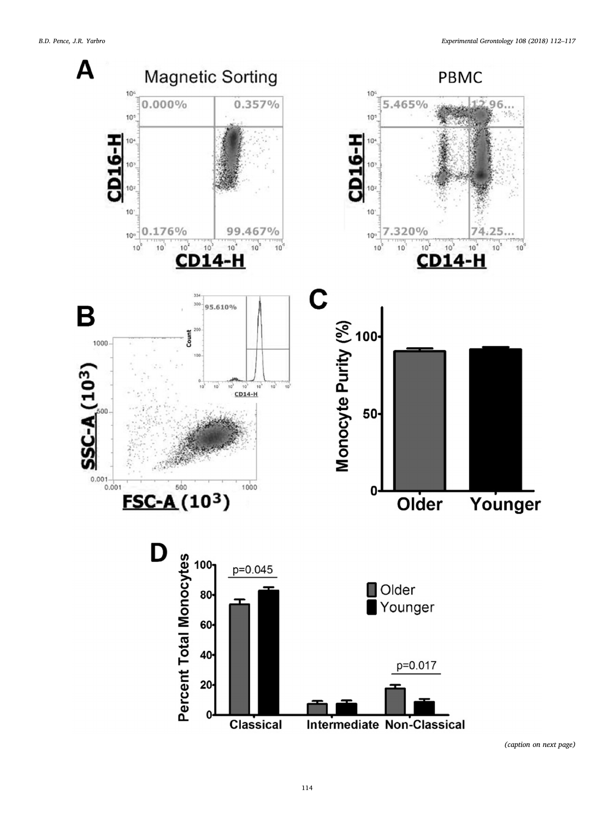<span id="page-2-0"></span>

(caption on next page)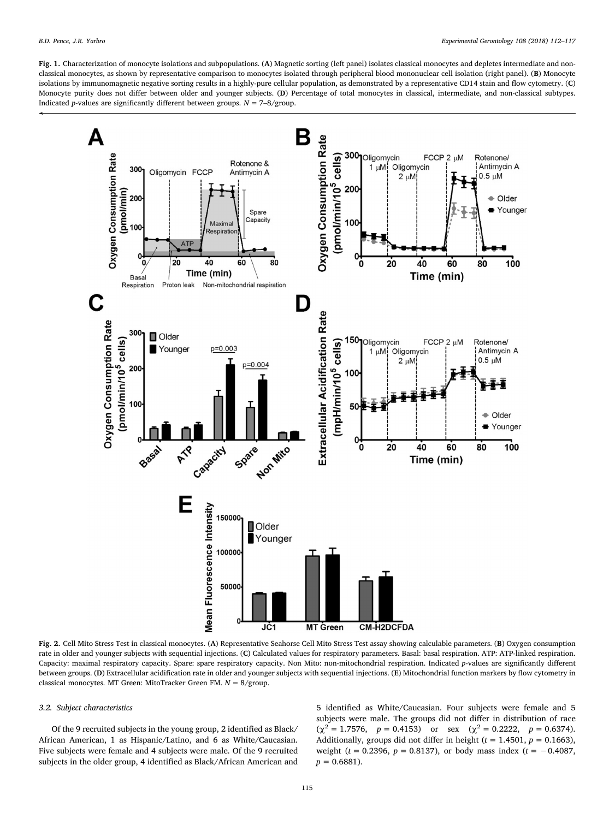Fig. 1. Characterization of monocyte isolations and subpopulations. (A) Magnetic sorting (left panel) isolates classical monocytes and depletes intermediate and nonclassical monocytes, as shown by representative comparison to monocytes isolated through peripheral blood mononuclear cell isolation (right panel). (B) Monocyte isolations by immunomagnetic negative sorting results in a highly-pure cellular population, as demonstrated by a representative CD14 stain and flow cytometry. (C) Monocyte purity does not differ between older and younger subjects. (D) Percentage of total monocytes in classical, intermediate, and non-classical subtypes. Indicated *p*-values are significantly different between groups.  $N = 7-8$ /group.

<span id="page-3-0"></span>

Fig. 2. Cell Mito Stress Test in classical monocytes. (A) Representative Seahorse Cell Mito Stress Test assay showing calculable parameters. (B) Oxygen consumption rate in older and younger subjects with sequential injections. (C) Calculated values for respiratory parameters. Basal: basal respiration. ATP: ATP-linked respiration. Capacity: maximal respiratory capacity. Spare: spare respiratory capacity. Non Mito: non-mitochondrial respiration. Indicated p-values are significantly different between groups. (D) Extracellular acidification rate in older and younger subjects with sequential injections. (E) Mitochondrial function markers by flow cytometry in classical monocytes. MT Green: MitoTracker Green FM.  $N = 8$ /group.

# 3.2. Subject characteristics

Of the 9 recruited subjects in the young group, 2 identified as Black/ African American, 1 as Hispanic/Latino, and 6 as White/Caucasian. Five subjects were female and 4 subjects were male. Of the 9 recruited subjects in the older group, 4 identified as Black/African American and 5 identified as White/Caucasian. Four subjects were female and 5 subjects were male. The groups did not differ in distribution of race  $(\chi^2 = 1.7576, \quad p = 0.4153)$  or sex  $(\chi^2 = 0.2222, \quad p = 0.6374)$ . Additionally, groups did not differ in height ( $t = 1.4501$ ,  $p = 0.1663$ ), weight ( $t = 0.2396$ ,  $p = 0.8137$ ), or body mass index ( $t = -0.4087$ ,  $p = 0.6881$ ).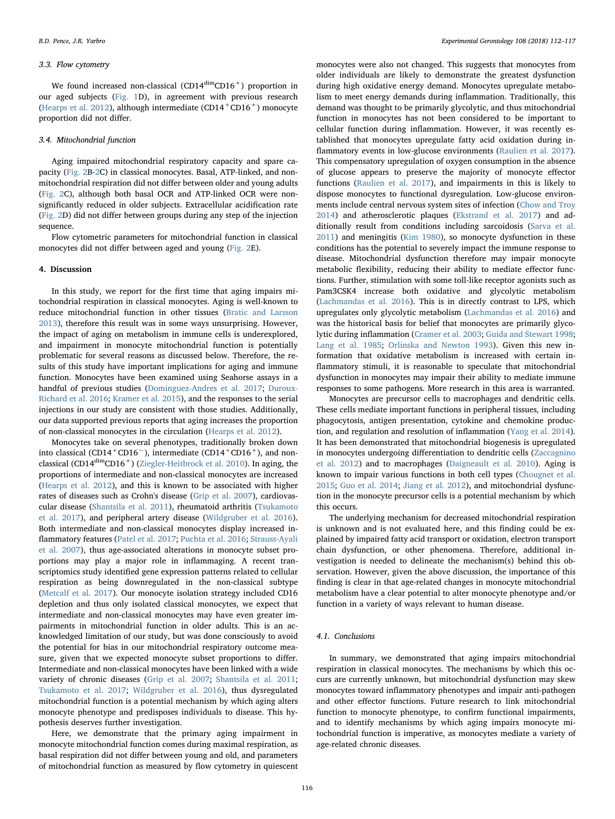# 3.3. Flow cytometry

We found increased non-classical  $(CD14^{dim}CD16^{+})$  proportion in our aged subjects ([Fig. 1](#page-2-0)D), in agreement with previous research ([Hearps et al. 2012\)](#page-5-17), although intermediate  $(CD14 + CD16)$  monocyte proportion did not differ.

# 3.4. Mitochondrial function

Aging impaired mitochondrial respiratory capacity and spare capacity ([Fig. 2B-2C](#page-3-0)) in classical monocytes. Basal, ATP-linked, and nonmitochondrial respiration did not differ between older and young adults ([Fig. 2C](#page-3-0)), although both basal OCR and ATP-linked OCR were nonsignificantly reduced in older subjects. Extracellular acidification rate ([Fig. 2](#page-3-0)D) did not differ between groups during any step of the injection sequence.

Flow cytometric parameters for mitochondrial function in classical monocytes did not differ between aged and young ([Fig. 2](#page-3-0)E).

#### 4. Discussion

In this study, we report for the first time that aging impairs mitochondrial respiration in classical monocytes. Aging is well-known to reduce mitochondrial function in other tissues [\(Bratic and Larsson](#page-5-12) [2013\)](#page-5-12), therefore this result was in some ways unsurprising. However, the impact of aging on metabolism in immune cells is underexplored, and impairment in monocyte mitochondrial function is potentially problematic for several reasons as discussed below. Therefore, the results of this study have important implications for aging and immune function. Monocytes have been examined using Seahorse assays in a handful of previous studies [\(Dominguez-Andres et al. 2017](#page-5-18); [Duroux-](#page-5-19)[Richard et al. 2016;](#page-5-19) [Kramer et al. 2015](#page-5-20)), and the responses to the serial injections in our study are consistent with those studies. Additionally, our data supported previous reports that aging increases the proportion of non-classical monocytes in the circulation [\(Hearps et al. 2012\)](#page-5-17).

Monocytes take on several phenotypes, traditionally broken down into classical (CD14<sup>+</sup>CD16<sup>-</sup>), intermediate (CD14<sup>+</sup>CD16<sup>+</sup>), and nonclassical (CD14dimCD16+) [\(Ziegler-Heitbrock et al. 2010\)](#page-5-21). In aging, the proportions of intermediate and non-classical monocytes are increased ([Hearps et al. 2012](#page-5-17)), and this is known to be associated with higher rates of diseases such as Crohn's disease [\(Grip et al. 2007](#page-5-22)), cardiovascular disease [\(Shantsila et al. 2011](#page-5-23)), rheumatoid arthritis ([Tsukamoto](#page-5-24) [et al. 2017\)](#page-5-24), and peripheral artery disease ([Wildgruber et al. 2016](#page-5-25)). Both intermediate and non-classical monocytes display increased inflammatory features ([Patel et al. 2017;](#page-5-26) [Puchta et al. 2016;](#page-5-6) [Strauss-Ayali](#page-5-27) [et al. 2007\)](#page-5-27), thus age-associated alterations in monocyte subset proportions may play a major role in inflammaging. A recent transcriptomics study identified gene expression patterns related to cellular respiration as being downregulated in the non-classical subtype ([Metcalf et al. 2017](#page-5-28)). Our monocyte isolation strategy included CD16 depletion and thus only isolated classical monocytes, we expect that intermediate and non-classical monocytes may have even greater impairments in mitochondrial function in older adults. This is an acknowledged limitation of our study, but was done consciously to avoid the potential for bias in our mitochondrial respiratory outcome measure, given that we expected monocyte subset proportions to differ. Intermediate and non-classical monocytes have been linked with a wide variety of chronic diseases ([Grip et al. 2007](#page-5-22); [Shantsila et al. 2011](#page-5-23); [Tsukamoto et al. 2017](#page-5-24); [Wildgruber et al. 2016\)](#page-5-25), thus dysregulated mitochondrial function is a potential mechanism by which aging alters monocyte phenotype and predisposes individuals to disease. This hypothesis deserves further investigation.

Here, we demonstrate that the primary aging impairment in monocyte mitochondrial function comes during maximal respiration, as basal respiration did not differ between young and old, and parameters of mitochondrial function as measured by flow cytometry in quiescent monocytes were also not changed. This suggests that monocytes from older individuals are likely to demonstrate the greatest dysfunction during high oxidative energy demand. Monocytes upregulate metabolism to meet energy demands during inflammation. Traditionally, this demand was thought to be primarily glycolytic, and thus mitochondrial function in monocytes has not been considered to be important to cellular function during inflammation. However, it was recently established that monocytes upregulate fatty acid oxidation during inflammatory events in low-glucose environments ([Raulien et al. 2017](#page-5-29)). This compensatory upregulation of oxygen consumption in the absence of glucose appears to preserve the majority of monocyte effector functions ([Raulien et al. 2017](#page-5-29)), and impairments in this is likely to dispose monocytes to functional dysregulation. Low-glucose environments include central nervous system sites of infection ([Chow and Troy](#page-5-30) [2014\)](#page-5-30) and atherosclerotic plaques [\(Ekstrand et al. 2017\)](#page-5-31) and additionally result from conditions including sarcoidosis [\(Sarva et al.](#page-5-32) [2011\)](#page-5-32) and meningitis ([Kim 1980\)](#page-5-33), so monocyte dysfunction in these conditions has the potential to severely impact the immune response to disease. Mitochondrial dysfunction therefore may impair monocyte metabolic flexibility, reducing their ability to mediate effector functions. Further, stimulation with some toll-like receptor agonists such as Pam3CSK4 increase both oxidative and glycolytic metabolism ([Lachmandas et al. 2016](#page-5-34)). This is in directly contrast to LPS, which upregulates only glycolytic metabolism ([Lachmandas et al. 2016\)](#page-5-34) and was the historical basis for belief that monocytes are primarily glycolytic during inflammation ([Cramer et al. 2003;](#page-5-35) [Guida and Stewart 1998](#page-5-36); [Lang et al. 1985;](#page-5-37) [Orlinska and Newton 1993\)](#page-5-38). Given this new information that oxidative metabolism is increased with certain inflammatory stimuli, it is reasonable to speculate that mitochondrial dysfunction in monocytes may impair their ability to mediate immune responses to some pathogens. More research in this area is warranted.

Monocytes are precursor cells to macrophages and dendritic cells. These cells mediate important functions in peripheral tissues, including phagocytosis, antigen presentation, cytokine and chemokine production, and regulation and resolution of inflammation [\(Yang et al. 2014](#page-5-5)). It has been demonstrated that mitochondrial biogenesis is upregulated in monocytes undergoing differentiation to dendritic cells ([Zaccagnino](#page-5-39) [et al. 2012\)](#page-5-39) and to macrophages [\(Daigneault et al. 2010](#page-5-40)). Aging is known to impair various functions in both cell types ([Chougnet et al.](#page-5-14) [2015;](#page-5-14) [Guo et al. 2014;](#page-5-41) [Jiang et al. 2012](#page-5-42)), and mitochondrial dysfunction in the monocyte precursor cells is a potential mechanism by which this occurs.

The underlying mechanism for decreased mitochondrial respiration is unknown and is not evaluated here, and this finding could be explained by impaired fatty acid transport or oxidation, electron transport chain dysfunction, or other phenomena. Therefore, additional investigation is needed to delineate the mechanism(s) behind this observation. However, given the above discussion, the importance of this finding is clear in that age-related changes in monocyte mitochondrial metabolism have a clear potential to alter monocyte phenotype and/or function in a variety of ways relevant to human disease.

# 4.1. Conclusions

In summary, we demonstrated that aging impairs mitochondrial respiration in classical monocytes. The mechanisms by which this occurs are currently unknown, but mitochondrial dysfunction may skew monocytes toward inflammatory phenotypes and impair anti-pathogen and other effector functions. Future research to link mitochondrial function to monocyte phenotype, to confirm functional impairments, and to identify mechanisms by which aging impairs monocyte mitochondrial function is imperative, as monocytes mediate a variety of age-related chronic diseases.